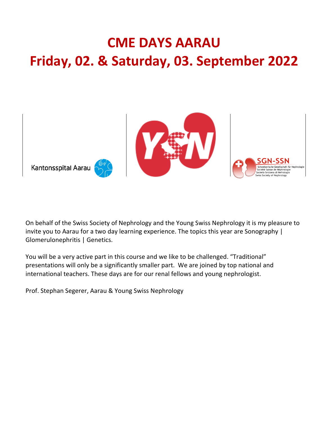## **CME DAYS AARAU Friday, 02. & Saturday, 03. September 2022**



On behalf of the Swiss Society of Nephrology and the Young Swiss Nephrology it is my pleasure to invite you to Aarau for a two day learning experience. The topics this year are Sonography | Glomerulonephritis | Genetics.

You will be a very active part in this course and we like to be challenged. "Traditional" presentations will only be a significantly smaller part. We are joined by top national and international teachers. These days are for our renal fellows and young nephrologist.

Prof. Stephan Segerer, Aarau & Young Swiss Nephrology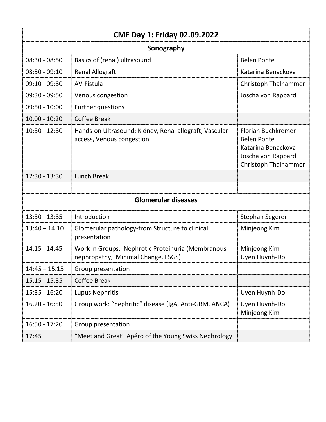| <b>CME Day 1: Friday 02.09.2022</b> |                                                                                         |                                                                                                                     |  |  |
|-------------------------------------|-----------------------------------------------------------------------------------------|---------------------------------------------------------------------------------------------------------------------|--|--|
| Sonography                          |                                                                                         |                                                                                                                     |  |  |
| $08:30 - 08:50$                     | Basics of (renal) ultrasound                                                            | <b>Belen Ponte</b>                                                                                                  |  |  |
| $08:50 - 09:10$                     | <b>Renal Allograft</b>                                                                  | Katarina Benackova                                                                                                  |  |  |
| $09:10 - 09:30$                     | AV-Fistula                                                                              | <b>Christoph Thalhammer</b>                                                                                         |  |  |
| $09:30 - 09:50$                     | Venous congestion                                                                       | Joscha von Rappard                                                                                                  |  |  |
| $09:50 - 10:00$                     | Further questions                                                                       |                                                                                                                     |  |  |
| $10.00 - 10:20$                     | <b>Coffee Break</b>                                                                     |                                                                                                                     |  |  |
| $10:30 - 12:30$                     | Hands-on Ultrasound: Kidney, Renal allograft, Vascular<br>access, Venous congestion     | <b>Florian Buchkremer</b><br><b>Belen Ponte</b><br>Katarina Benackova<br>Joscha von Rappard<br>Christoph Thalhammer |  |  |
| 12:30 - 13:30                       | <b>Lunch Break</b>                                                                      |                                                                                                                     |  |  |
|                                     |                                                                                         |                                                                                                                     |  |  |
| <b>Glomerular diseases</b>          |                                                                                         |                                                                                                                     |  |  |
| $13:30 - 13:35$                     | Introduction                                                                            | <b>Stephan Segerer</b>                                                                                              |  |  |
| $13:40 - 14.10$                     | Glomerular pathology-from Structure to clinical<br>presentation                         | Minjeong Kim                                                                                                        |  |  |
| $14.15 - 14:45$                     | Work in Groups: Nephrotic Proteinuria (Membranous<br>nephropathy, Minimal Change, FSGS) | Minjeong Kim<br>Uyen Huynh-Do                                                                                       |  |  |
| $14:45 - 15.15$                     | Group presentation                                                                      |                                                                                                                     |  |  |
| $15:15 - 15:35$                     | <b>Coffee Break</b>                                                                     |                                                                                                                     |  |  |
| $15:35 - 16:20$                     | Lupus Nephritis                                                                         | Uyen Huynh-Do                                                                                                       |  |  |
| $16.20 - 16:50$                     | Group work: "nephritic" disease (IgA, Anti-GBM, ANCA)                                   | Uyen Huynh-Do<br>Minjeong Kim                                                                                       |  |  |
| 16:50 - 17:20                       | Group presentation                                                                      |                                                                                                                     |  |  |
| 17:45                               | "Meet and Great" Apéro of the Young Swiss Nephrology                                    |                                                                                                                     |  |  |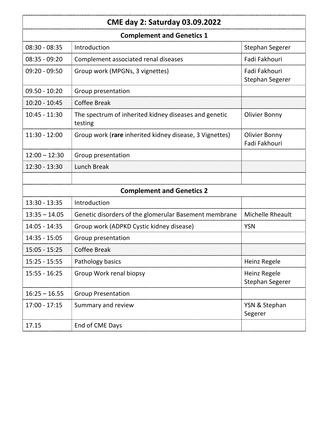## **CME day 2: Saturday 03.09.2022**

| <b>Complement and Genetics 1</b> |                                                                  |                                         |  |
|----------------------------------|------------------------------------------------------------------|-----------------------------------------|--|
| $08:30 - 08:35$                  | Introduction                                                     | Stephan Segerer                         |  |
| $08:35 - 09:20$                  | Complement associated renal diseases                             | Fadi Fakhouri                           |  |
| $09:20 - 09:50$                  | Group work (MPGNs, 3 vignettes)                                  | Fadi Fakhouri<br><b>Stephan Segerer</b> |  |
| $09.50 - 10:20$                  | Group presentation                                               |                                         |  |
| $10:20 - 10:45$                  | <b>Coffee Break</b>                                              |                                         |  |
| $10:45 - 11:30$                  | The spectrum of inherited kidney diseases and genetic<br>testing | <b>Olivier Bonny</b>                    |  |
| $11:30 - 12:00$                  | Group work (rare inherited kidney disease, 3 Vignettes)          | <b>Olivier Bonny</b><br>Fadi Fakhouri   |  |
| $12:00 - 12:30$                  | Group presentation                                               |                                         |  |
| 12:30 - 13:30                    | <b>Lunch Break</b>                                               |                                         |  |
|                                  |                                                                  |                                         |  |
| <b>Complement and Genetics 2</b> |                                                                  |                                         |  |
| $13:30 - 13:35$                  | Introduction                                                     |                                         |  |
| $13:35 - 14.05$                  | Genetic disorders of the glomerular Basement membrane            | Michelle Rheault                        |  |
| $14:05 - 14:35$                  | Group work (ADPKD Cystic kidney disease)                         | <b>YSN</b>                              |  |
| $14:35 - 15:05$                  | Group presentation                                               |                                         |  |
| $15:05 - 15:25$                  | <b>Coffee Break</b>                                              |                                         |  |
| $15:25 - 15:55$                  | Pathology basics                                                 | Heinz Regele                            |  |
| $15:55 - 16:25$                  | Group Work renal biopsy                                          | Heinz Regele<br>Stephan Segerer         |  |
| $16:25 - 16.55$                  | <b>Group Presentation</b>                                        |                                         |  |
| $17:00 - 17:15$                  | Summary and review                                               | YSN & Stephan<br>Segerer                |  |
| 17.15                            | End of CME Days                                                  |                                         |  |